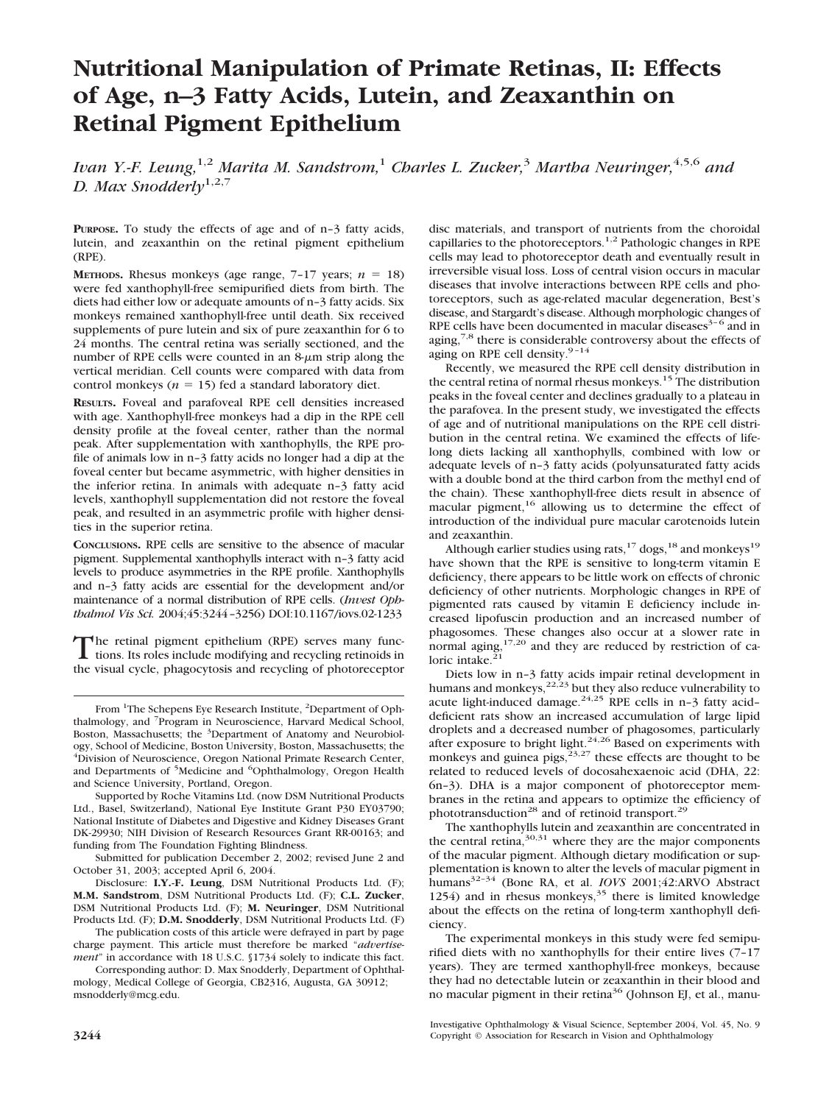# **Nutritional Manipulation of Primate Retinas, II: Effects of Age, n–3 Fatty Acids, Lutein, and Zeaxanthin on Retinal Pigment Epithelium**

*Ivan Y.-F. Leung,*1,2 *Marita M. Sandstrom,*<sup>1</sup> *Charles L. Zucker,*<sup>3</sup> *Martha Neuringer,*4,5,6 *and D. Max Snodderly*1,2,7

**PURPOSE.** To study the effects of age and of n-3 fatty acids, lutein, and zeaxanthin on the retinal pigment epithelium (RPE).

**METHODS.** Rhesus monkeys (age range,  $7-17$  years;  $n = 18$ ) were fed xanthophyll-free semipurified diets from birth. The diets had either low or adequate amounts of n–3 fatty acids. Six monkeys remained xanthophyll-free until death. Six received supplements of pure lutein and six of pure zeaxanthin for 6 to 24 months. The central retina was serially sectioned, and the number of RPE cells were counted in an  $8-\mu m$  strip along the vertical meridian. Cell counts were compared with data from control monkeys ( $n = 15$ ) fed a standard laboratory diet.

**RESULTS.** Foveal and parafoveal RPE cell densities increased with age. Xanthophyll-free monkeys had a dip in the RPE cell density profile at the foveal center, rather than the normal peak. After supplementation with xanthophylls, the RPE profile of animals low in n–3 fatty acids no longer had a dip at the foveal center but became asymmetric, with higher densities in the inferior retina. In animals with adequate n–3 fatty acid levels, xanthophyll supplementation did not restore the foveal peak, and resulted in an asymmetric profile with higher densities in the superior retina.

**CONCLUSIONS.** RPE cells are sensitive to the absence of macular pigment. Supplemental xanthophylls interact with n–3 fatty acid levels to produce asymmetries in the RPE profile. Xanthophylls and n–3 fatty acids are essential for the development and/or maintenance of a normal distribution of RPE cells. (*Invest Ophthalmol Vis Sci.* 2004;45:3244–3256) DOI:10.1167/iovs.02-1233

The retinal pigment epithelium (RPE) serves many func-<br>tions. Its roles include modifying and recycling retinoids in the visual cycle, phagocytosis and recycling of photoreceptor

Supported by Roche Vitamins Ltd. (now DSM Nutritional Products Ltd., Basel, Switzerland), National Eye Institute Grant P30 EY03790; National Institute of Diabetes and Digestive and Kidney Diseases Grant DK-29930; NIH Division of Research Resources Grant RR-00163; and funding from The Foundation Fighting Blindness.

Submitted for publication December 2, 2002; revised June 2 and October 31, 2003; accepted April 6, 2004.

Disclosure: **I.Y.-F. Leung**, DSM Nutritional Products Ltd. (F); **M.M. Sandstrom**, DSM Nutritional Products Ltd. (F); **C.L. Zucker**, DSM Nutritional Products Ltd. (F); **M. Neuringer**, DSM Nutritional Products Ltd. (F); **D.M. Snodderly**, DSM Nutritional Products Ltd. (F)

The publication costs of this article were defrayed in part by page charge payment. This article must therefore be marked "*advertisement*" in accordance with 18 U.S.C. §1734 solely to indicate this fact.

Corresponding author: D. Max Snodderly, Department of Ophthalmology, Medical College of Georgia, CB2316, Augusta, GA 30912; msnodderly@mcg.edu.

disc materials, and transport of nutrients from the choroidal capillaries to the photoreceptors.<sup>1,2</sup> Pathologic changes in RPE cells may lead to photoreceptor death and eventually result in irreversible visual loss. Loss of central vision occurs in macular diseases that involve interactions between RPE cells and photoreceptors, such as age-related macular degeneration, Best's disease, and Stargardt's disease. Although morphologic changes of RPE cells have been documented in macular diseases $3-6$  and in aging, $7.8$  there is considerable controversy about the effects of aging on RPE cell density.<sup>9-14</sup>

Recently, we measured the RPE cell density distribution in the central retina of normal rhesus monkeys.15 The distribution peaks in the foveal center and declines gradually to a plateau in the parafovea. In the present study, we investigated the effects of age and of nutritional manipulations on the RPE cell distribution in the central retina. We examined the effects of lifelong diets lacking all xanthophylls, combined with low or adequate levels of n–3 fatty acids (polyunsaturated fatty acids with a double bond at the third carbon from the methyl end of the chain). These xanthophyll-free diets result in absence of macular pigment,16 allowing us to determine the effect of introduction of the individual pure macular carotenoids lutein and zeaxanthin.

Although earlier studies using rats,  $17 \text{ dogs}, 18$  and monkeys<sup>19</sup> have shown that the RPE is sensitive to long-term vitamin E deficiency, there appears to be little work on effects of chronic deficiency of other nutrients. Morphologic changes in RPE of pigmented rats caused by vitamin E deficiency include increased lipofuscin production and an increased number of phagosomes. These changes also occur at a slower rate in normal aging, $17,20$  and they are reduced by restriction of caloric intake. $21$ 

Diets low in n–3 fatty acids impair retinal development in humans and monkeys, $22,23$  but they also reduce vulnerability to acute light-induced damage.<sup>24,25</sup> RPE cells in n-3 fatty aciddeficient rats show an increased accumulation of large lipid droplets and a decreased number of phagosomes, particularly after exposure to bright light. $24,26$  Based on experiments with monkeys and guinea pigs,  $23,27$  these effects are thought to be related to reduced levels of docosahexaenoic acid (DHA, 22: 6n–3). DHA is a major component of photoreceptor membranes in the retina and appears to optimize the efficiency of phototransduction<sup>28</sup> and of retinoid transport.<sup>29</sup>

The xanthophylls lutein and zeaxanthin are concentrated in the central retina,  $30,31$  where they are the major components of the macular pigment. Although dietary modification or supplementation is known to alter the levels of macular pigment in humans32–34 (Bone RA, et al. *IOVS* 2001;42:ARVO Abstract 1254) and in rhesus monkeys,  $35$  there is limited knowledge about the effects on the retina of long-term xanthophyll deficiency.

The experimental monkeys in this study were fed semipurified diets with no xanthophylls for their entire lives (7–17 years). They are termed xanthophyll-free monkeys, because they had no detectable lutein or zeaxanthin in their blood and no macular pigment in their retina<sup>36</sup> (Johnson EJ, et al., manu-

From <sup>1</sup>The Schepens Eye Research Institute, <sup>2</sup>Department of Ophthalmology, and <sup>7</sup> Program in Neuroscience, Harvard Medical School, Boston, Massachusetts; the <sup>3</sup>Department of Anatomy and Neurobiology, School of Medicine, Boston University, Boston, Massachusetts; the 4 Division of Neuroscience, Oregon National Primate Research Center, and Departments of <sup>5</sup>Medicine and <sup>6</sup>Ophthalmology, Oregon Health and Science University, Portland, Oregon.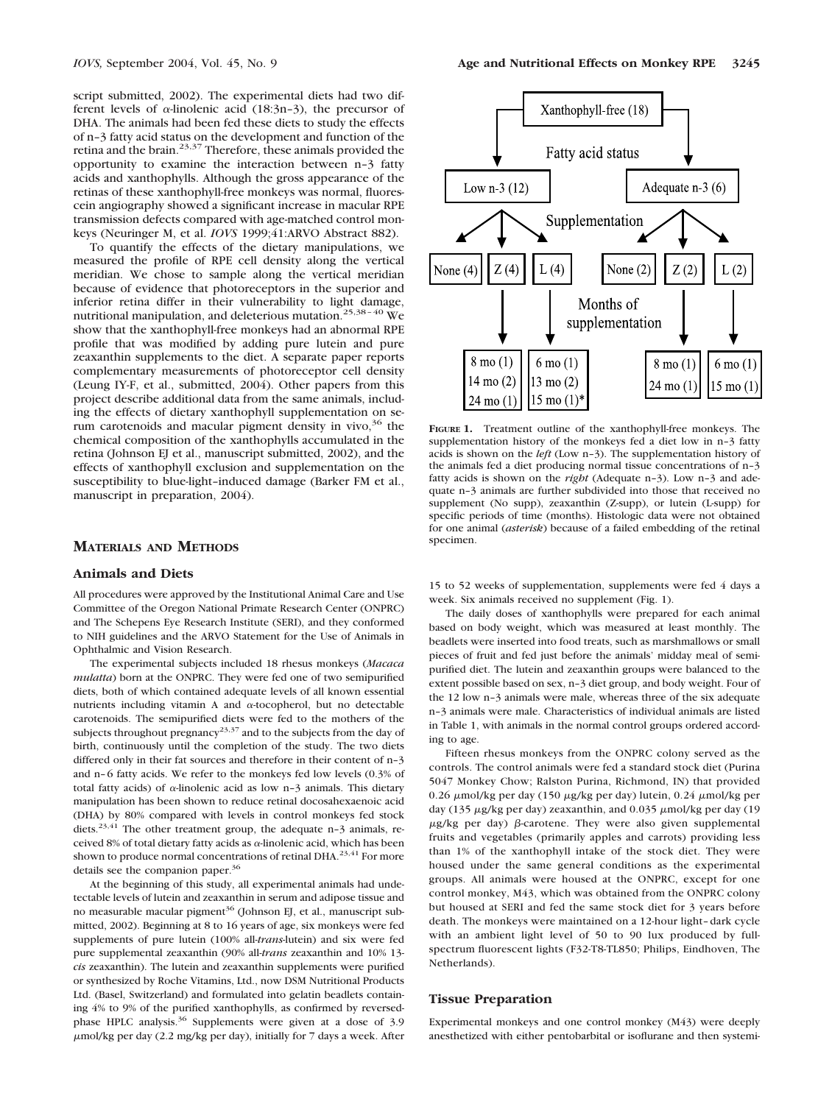script submitted, 2002). The experimental diets had two different levels of  $\alpha$ -linolenic acid (18:3n-3), the precursor of DHA. The animals had been fed these diets to study the effects of n–3 fatty acid status on the development and function of the retina and the brain.23,37 Therefore, these animals provided the opportunity to examine the interaction between n–3 fatty acids and xanthophylls. Although the gross appearance of the retinas of these xanthophyll-free monkeys was normal, fluorescein angiography showed a significant increase in macular RPE transmission defects compared with age-matched control monkeys (Neuringer M, et al. *IOVS* 1999;41:ARVO Abstract 882).

To quantify the effects of the dietary manipulations, we measured the profile of RPE cell density along the vertical meridian. We chose to sample along the vertical meridian because of evidence that photoreceptors in the superior and inferior retina differ in their vulnerability to light damage, nutritional manipulation, and deleterious mutation.25,38–40 We show that the xanthophyll-free monkeys had an abnormal RPE profile that was modified by adding pure lutein and pure zeaxanthin supplements to the diet. A separate paper reports complementary measurements of photoreceptor cell density (Leung IY-F, et al., submitted, 2004). Other papers from this project describe additional data from the same animals, including the effects of dietary xanthophyll supplementation on serum carotenoids and macular pigment density in vivo,  $36$  the chemical composition of the xanthophylls accumulated in the retina (Johnson EJ et al., manuscript submitted, 2002), and the effects of xanthophyll exclusion and supplementation on the susceptibility to blue-light–induced damage (Barker FM et al., manuscript in preparation, 2004).

#### **MATERIALS AND METHODS**

#### **Animals and Diets**

All procedures were approved by the Institutional Animal Care and Use Committee of the Oregon National Primate Research Center (ONPRC) and The Schepens Eye Research Institute (SERI), and they conformed to NIH guidelines and the ARVO Statement for the Use of Animals in Ophthalmic and Vision Research.

The experimental subjects included 18 rhesus monkeys (*Macaca mulatta*) born at the ONPRC. They were fed one of two semipurified diets, both of which contained adequate levels of all known essential nutrients including vitamin A and  $\alpha$ -tocopherol, but no detectable carotenoids. The semipurified diets were fed to the mothers of the subjects throughout pregnancy<sup>23,37</sup> and to the subjects from the day of birth, continuously until the completion of the study. The two diets differed only in their fat sources and therefore in their content of n–3 and n–6 fatty acids. We refer to the monkeys fed low levels (0.3% of total fatty acids) of  $\alpha$ -linolenic acid as low n-3 animals. This dietary manipulation has been shown to reduce retinal docosahexaenoic acid (DHA) by 80% compared with levels in control monkeys fed stock diets.<sup>23,41</sup> The other treatment group, the adequate n-3 animals, received 8% of total dietary fatty acids as  $\alpha$ -linolenic acid, which has been shown to produce normal concentrations of retinal DHA.<sup>23,41</sup> For more details see the companion paper.<sup>36</sup>

At the beginning of this study, all experimental animals had undetectable levels of lutein and zeaxanthin in serum and adipose tissue and no measurable macular pigment<sup>36</sup> (Johnson EJ, et al., manuscript submitted, 2002). Beginning at 8 to 16 years of age, six monkeys were fed supplements of pure lutein (100% all-*trans*-lutein) and six were fed pure supplemental zeaxanthin (90% all-*trans* zeaxanthin and 10% 13 *cis* zeaxanthin). The lutein and zeaxanthin supplements were purified or synthesized by Roche Vitamins, Ltd., now DSM Nutritional Products Ltd. (Basel, Switzerland) and formulated into gelatin beadlets containing 4% to 9% of the purified xanthophylls, as confirmed by reversedphase HPLC analysis.<sup>36</sup> Supplements were given at a dose of 3.9 mol/kg per day (2.2 mg/kg per day), initially for 7 days a week. After



**FIGURE 1.** Treatment outline of the xanthophyll-free monkeys. The supplementation history of the monkeys fed a diet low in n–3 fatty acids is shown on the *left* (Low n–3). The supplementation history of the animals fed a diet producing normal tissue concentrations of n–3 fatty acids is shown on the *right* (Adequate n–3). Low n–3 and adequate n–3 animals are further subdivided into those that received no supplement (No supp), zeaxanthin (Z-supp), or lutein (L-supp) for specific periods of time (months). Histologic data were not obtained for one animal (*asterisk*) because of a failed embedding of the retinal specimen.

15 to 52 weeks of supplementation, supplements were fed 4 days a week. Six animals received no supplement (Fig. 1).

The daily doses of xanthophylls were prepared for each animal based on body weight, which was measured at least monthly. The beadlets were inserted into food treats, such as marshmallows or small pieces of fruit and fed just before the animals' midday meal of semipurified diet. The lutein and zeaxanthin groups were balanced to the extent possible based on sex, n–3 diet group, and body weight. Four of the 12 low n–3 animals were male, whereas three of the six adequate n–3 animals were male. Characteristics of individual animals are listed in Table 1, with animals in the normal control groups ordered according to age.

Fifteen rhesus monkeys from the ONPRC colony served as the controls. The control animals were fed a standard stock diet (Purina 5047 Monkey Chow; Ralston Purina, Richmond, IN) that provided 0.26  $\mu$ mol/kg per day (150  $\mu$ g/kg per day) lutein, 0.24  $\mu$ mol/kg per day (135  $\mu$ g/kg per day) zeaxanthin, and 0.035  $\mu$ mol/kg per day (19  $\mu$ g/kg per day)  $\beta$ -carotene. They were also given supplemental fruits and vegetables (primarily apples and carrots) providing less than 1% of the xanthophyll intake of the stock diet. They were housed under the same general conditions as the experimental groups. All animals were housed at the ONPRC, except for one control monkey, M43, which was obtained from the ONPRC colony but housed at SERI and fed the same stock diet for 3 years before death. The monkeys were maintained on a 12-hour light– dark cycle with an ambient light level of 50 to 90 lux produced by fullspectrum fluorescent lights (F32-T8-TL850; Philips, Eindhoven, The Netherlands).

#### **Tissue Preparation**

Experimental monkeys and one control monkey (M43) were deeply anesthetized with either pentobarbital or isoflurane and then systemi-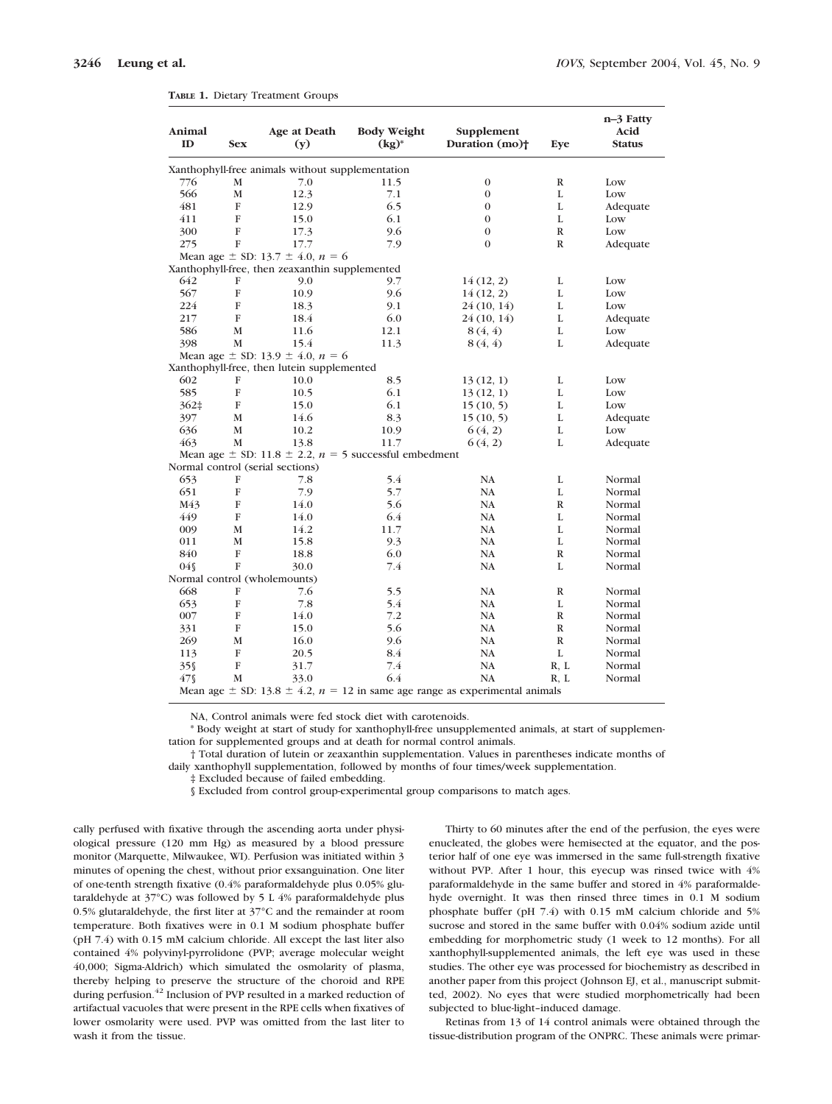| Animal<br>ID                                     | <b>Sex</b>   | Age at Death<br>(y)                                           | <b>Body Weight</b><br>$(kg)^*$ | Supplement<br>Duration (mo) <sup>+</sup>                                              | Eye          | n-3 Fatty<br>Acid<br>Status |  |  |  |  |
|--------------------------------------------------|--------------|---------------------------------------------------------------|--------------------------------|---------------------------------------------------------------------------------------|--------------|-----------------------------|--|--|--|--|
| Xanthophyll-free animals without supplementation |              |                                                               |                                |                                                                                       |              |                             |  |  |  |  |
| 776                                              | M            | 7.0                                                           | 11.5                           | $\boldsymbol{0}$                                                                      | $\mathbb R$  | Low                         |  |  |  |  |
| 566                                              | $\mathbf M$  | 12.3                                                          | 7.1                            | $\boldsymbol{0}$                                                                      | L            | Low                         |  |  |  |  |
| 481                                              | F            | 12.9                                                          | 6.5                            | $\mathbf{0}$                                                                          | L            | Adequate                    |  |  |  |  |
| 411                                              | F            | 15.0                                                          | 6.1                            | $\mathbf{0}$                                                                          | L            | Low                         |  |  |  |  |
| 300                                              | $\mathbf{F}$ | 17.3                                                          | 9.6                            | $\mathbf{0}$                                                                          | $\mathbb{R}$ | Low                         |  |  |  |  |
| 275                                              | $\mathbf{F}$ | 17.7                                                          | 7.9                            | $\theta$                                                                              | $\mathbb{R}$ | Adequate                    |  |  |  |  |
|                                                  |              | Mean age $\pm$ SD: 13.7 $\pm$ 4.0, $n = 6$                    |                                |                                                                                       |              |                             |  |  |  |  |
|                                                  |              | Xanthophyll-free, then zeaxanthin supplemented                |                                |                                                                                       |              |                             |  |  |  |  |
| 642                                              | F            | 9.0                                                           | 9.7                            | 14(12, 2)                                                                             | L            | Low                         |  |  |  |  |
| 567                                              | F            | 10.9                                                          | 9.6                            | 14(12, 2)                                                                             | L            | Low                         |  |  |  |  |
| 224                                              | F            | 18.3                                                          | 9.1                            | 24 (10, 14)                                                                           | L            | Low                         |  |  |  |  |
| 217                                              | F            | 18.4                                                          | 6.0                            | 24 (10, 14)                                                                           | L            | Adequate                    |  |  |  |  |
| 586                                              | M            | 11.6                                                          | 12.1                           | 8(4, 4)                                                                               | L            | Low                         |  |  |  |  |
| 398                                              | M            | 15.4                                                          | 11.3                           | 8(4, 4)                                                                               | L            | Adequate                    |  |  |  |  |
|                                                  |              | Mean age $\pm$ SD: 13.9 $\pm$ 4.0, $n = 6$                    |                                |                                                                                       |              |                             |  |  |  |  |
|                                                  |              | Xanthophyll-free, then lutein supplemented                    |                                |                                                                                       |              |                             |  |  |  |  |
| 602                                              | F            | 10.0                                                          | 8.5                            | 13(12, 1)                                                                             | L            | Low                         |  |  |  |  |
| 585                                              | F            | 10.5                                                          | 6.1                            | 13(12, 1)                                                                             | L            | Low                         |  |  |  |  |
| $362\pm$                                         | F            | 15.0                                                          | 6.1                            | 15(10, 5)                                                                             | L            | Low                         |  |  |  |  |
| 397                                              | М            | 14.6                                                          | 8.3                            | 15(10, 5)                                                                             | L            | Adequate                    |  |  |  |  |
| 636                                              | М            | 10.2                                                          | 10.9                           | 6(4, 2)                                                                               | L            | Low                         |  |  |  |  |
| 463                                              | M            | 13.8                                                          | 11.7                           | 6(4, 2)                                                                               | L            | Adequate                    |  |  |  |  |
|                                                  |              | Mean age $\pm$ SD: 11.8 $\pm$ 2.2, n = 5 successful embedment |                                |                                                                                       |              |                             |  |  |  |  |
|                                                  |              | Normal control (serial sections)                              |                                |                                                                                       |              |                             |  |  |  |  |
| 653                                              | F            | 7.8                                                           | 5.4                            | <b>NA</b>                                                                             | L            | Normal                      |  |  |  |  |
| 651                                              | F            | 7.9                                                           | 5.7                            | NA                                                                                    | L            | Normal                      |  |  |  |  |
| M43                                              | F            | 14.0                                                          | 5.6                            | NA                                                                                    | $\mathbb R$  | Normal                      |  |  |  |  |
| 449                                              | $\mathbf F$  | 14.0                                                          | 6.4                            | NA                                                                                    | L            | Normal                      |  |  |  |  |
| 009                                              | M            | 14.2                                                          | 11.7                           | NA                                                                                    | L            | Normal                      |  |  |  |  |
| 011                                              | M            | 15.8                                                          | 9.3                            | <b>NA</b>                                                                             | L            | Normal                      |  |  |  |  |
| 840                                              | F            | 18.8                                                          | 6.0                            | <b>NA</b>                                                                             | $\mathbb{R}$ | Normal                      |  |  |  |  |
| $04\%$                                           | $\mathbf{F}$ | 30.0                                                          | 7.4                            | <b>NA</b>                                                                             | L            | Normal                      |  |  |  |  |
|                                                  |              | Normal control (wholemounts)                                  |                                |                                                                                       |              |                             |  |  |  |  |
| 668                                              | F            | 7.6                                                           | 5.5                            | NA                                                                                    | $\mathbb{R}$ | Normal                      |  |  |  |  |
| 653                                              | F            | 7.8                                                           | 5.4                            | <b>NA</b>                                                                             | L            | Normal                      |  |  |  |  |
| 007                                              | F            | 14.0                                                          | 7.2                            | <b>NA</b>                                                                             | $\mathbb{R}$ | Normal                      |  |  |  |  |
| 331                                              | F            | 15.0                                                          | 5.6                            | NA                                                                                    | $\mathbb{R}$ | Normal                      |  |  |  |  |
| 269                                              | М            | 16.0                                                          | 9.6                            | NA                                                                                    | $\mathbb{R}$ | Normal                      |  |  |  |  |
| 113                                              | F            | 20.5                                                          | 8.4                            | <b>NA</b>                                                                             | L            | Normal                      |  |  |  |  |
| $35\%$                                           | F            | 31.7                                                          | 7.4                            | <b>NA</b>                                                                             | R, L         | Normal                      |  |  |  |  |
| 47 S                                             | M            | 33.0                                                          | 6.4                            | NA                                                                                    | R, L         | Normal                      |  |  |  |  |
|                                                  |              |                                                               |                                | Mean age $\pm$ SD: 13.8 $\pm$ 4.2, $n = 12$ in same age range as experimental animals |              |                             |  |  |  |  |

**TABLE 1.** Dietary Treatment Groups

NA, Control animals were fed stock diet with carotenoids.

\* Body weight at start of study for xanthophyll-free unsupplemented animals, at start of supplementation for supplemented groups and at death for normal control animals.

† Total duration of lutein or zeaxanthin supplementation. Values in parentheses indicate months of daily xanthophyll supplementation, followed by months of four times/week supplementation.

‡ Excluded because of failed embedding.

§ Excluded from control group-experimental group comparisons to match ages.

cally perfused with fixative through the ascending aorta under physiological pressure (120 mm Hg) as measured by a blood pressure monitor (Marquette, Milwaukee, WI). Perfusion was initiated within 3 minutes of opening the chest, without prior exsanguination. One liter of one-tenth strength fixative (0.4% paraformaldehyde plus 0.05% glutaraldehyde at 37°C) was followed by 5 L 4% paraformaldehyde plus 0.5% glutaraldehyde, the first liter at 37°C and the remainder at room temperature. Both fixatives were in 0.1 M sodium phosphate buffer (pH 7.4) with 0.15 mM calcium chloride. All except the last liter also contained 4% polyvinyl-pyrrolidone (PVP; average molecular weight 40,000; Sigma-Aldrich) which simulated the osmolarity of plasma, thereby helping to preserve the structure of the choroid and RPE during perfusion.<sup>42</sup> Inclusion of PVP resulted in a marked reduction of artifactual vacuoles that were present in the RPE cells when fixatives of lower osmolarity were used. PVP was omitted from the last liter to wash it from the tissue.

Thirty to 60 minutes after the end of the perfusion, the eyes were enucleated, the globes were hemisected at the equator, and the posterior half of one eye was immersed in the same full-strength fixative without PVP. After 1 hour, this eyecup was rinsed twice with 4% paraformaldehyde in the same buffer and stored in 4% paraformaldehyde overnight. It was then rinsed three times in 0.1 M sodium phosphate buffer (pH 7.4) with 0.15 mM calcium chloride and 5% sucrose and stored in the same buffer with 0.04% sodium azide until embedding for morphometric study (1 week to 12 months). For all xanthophyll-supplemented animals, the left eye was used in these studies. The other eye was processed for biochemistry as described in another paper from this project (Johnson EJ, et al., manuscript submitted, 2002). No eyes that were studied morphometrically had been subjected to blue-light–induced damage.

Retinas from 13 of 14 control animals were obtained through the tissue-distribution program of the ONPRC. These animals were primar-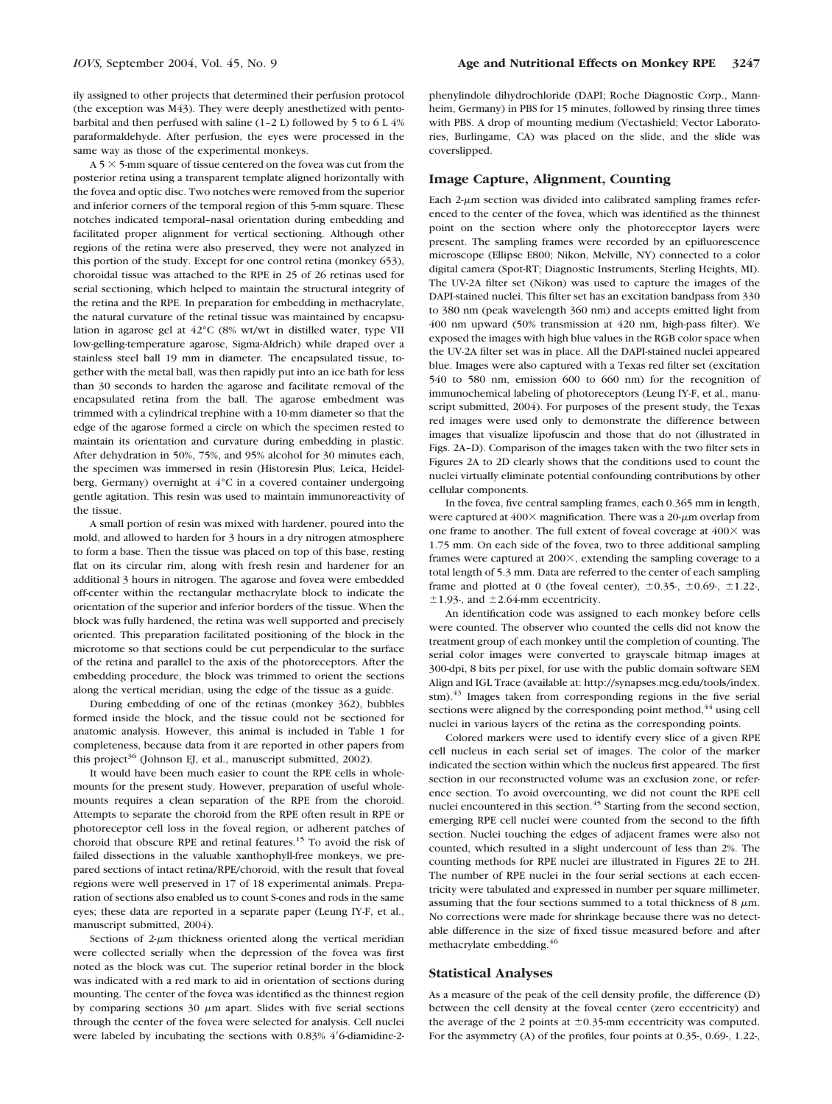ily assigned to other projects that determined their perfusion protocol (the exception was M43). They were deeply anesthetized with pentobarbital and then perfused with saline (1–2 L) followed by 5 to 6 L 4% paraformaldehyde. After perfusion, the eyes were processed in the same way as those of the experimental monkeys.

 $A$  5  $\times$  5-mm square of tissue centered on the fovea was cut from the posterior retina using a transparent template aligned horizontally with the fovea and optic disc. Two notches were removed from the superior and inferior corners of the temporal region of this 5-mm square. These notches indicated temporal–nasal orientation during embedding and facilitated proper alignment for vertical sectioning. Although other regions of the retina were also preserved, they were not analyzed in this portion of the study. Except for one control retina (monkey 653), choroidal tissue was attached to the RPE in 25 of 26 retinas used for serial sectioning, which helped to maintain the structural integrity of the retina and the RPE. In preparation for embedding in methacrylate, the natural curvature of the retinal tissue was maintained by encapsulation in agarose gel at 42°C (8% wt/wt in distilled water, type VII low-gelling-temperature agarose, Sigma-Aldrich) while draped over a stainless steel ball 19 mm in diameter. The encapsulated tissue, together with the metal ball, was then rapidly put into an ice bath for less than 30 seconds to harden the agarose and facilitate removal of the encapsulated retina from the ball. The agarose embedment was trimmed with a cylindrical trephine with a 10-mm diameter so that the edge of the agarose formed a circle on which the specimen rested to maintain its orientation and curvature during embedding in plastic. After dehydration in 50%, 75%, and 95% alcohol for 30 minutes each, the specimen was immersed in resin (Historesin Plus; Leica, Heidelberg, Germany) overnight at 4°C in a covered container undergoing gentle agitation. This resin was used to maintain immunoreactivity of the tissue.

A small portion of resin was mixed with hardener, poured into the mold, and allowed to harden for 3 hours in a dry nitrogen atmosphere to form a base. Then the tissue was placed on top of this base, resting flat on its circular rim, along with fresh resin and hardener for an additional 3 hours in nitrogen. The agarose and fovea were embedded off-center within the rectangular methacrylate block to indicate the orientation of the superior and inferior borders of the tissue. When the block was fully hardened, the retina was well supported and precisely oriented. This preparation facilitated positioning of the block in the microtome so that sections could be cut perpendicular to the surface of the retina and parallel to the axis of the photoreceptors. After the embedding procedure, the block was trimmed to orient the sections along the vertical meridian, using the edge of the tissue as a guide.

During embedding of one of the retinas (monkey 362), bubbles formed inside the block, and the tissue could not be sectioned for anatomic analysis. However, this animal is included in Table 1 for completeness, because data from it are reported in other papers from this project<sup>36</sup> (Johnson EJ, et al., manuscript submitted, 2002).

It would have been much easier to count the RPE cells in wholemounts for the present study. However, preparation of useful wholemounts requires a clean separation of the RPE from the choroid. Attempts to separate the choroid from the RPE often result in RPE or photoreceptor cell loss in the foveal region, or adherent patches of choroid that obscure RPE and retinal features.15 To avoid the risk of failed dissections in the valuable xanthophyll-free monkeys, we prepared sections of intact retina/RPE/choroid, with the result that foveal regions were well preserved in 17 of 18 experimental animals. Preparation of sections also enabled us to count S-cones and rods in the same eyes; these data are reported in a separate paper (Leung IY-F, et al., manuscript submitted, 2004).

Sections of  $2-\mu m$  thickness oriented along the vertical meridian were collected serially when the depression of the fovea was first noted as the block was cut. The superior retinal border in the block was indicated with a red mark to aid in orientation of sections during mounting. The center of the fovea was identified as the thinnest region by comparing sections  $30 \mu m$  apart. Slides with five serial sections through the center of the fovea were selected for analysis. Cell nuclei were labeled by incubating the sections with  $0.83\%$  4'6-diamidine-2phenylindole dihydrochloride (DAPI; Roche Diagnostic Corp., Mannheim, Germany) in PBS for 15 minutes, followed by rinsing three times with PBS. A drop of mounting medium (Vectashield; Vector Laboratories, Burlingame, CA) was placed on the slide, and the slide was coverslipped.

#### **Image Capture, Alignment, Counting**

Each  $2$ - $\mu$ m section was divided into calibrated sampling frames referenced to the center of the fovea, which was identified as the thinnest point on the section where only the photoreceptor layers were present. The sampling frames were recorded by an epifluorescence microscope (Ellipse E800; Nikon, Melville, NY) connected to a color digital camera (Spot-RT; Diagnostic Instruments, Sterling Heights, MI). The UV-2A filter set (Nikon) was used to capture the images of the DAPI-stained nuclei. This filter set has an excitation bandpass from 330 to 380 nm (peak wavelength 360 nm) and accepts emitted light from 400 nm upward (50% transmission at 420 nm, high-pass filter). We exposed the images with high blue values in the RGB color space when the UV-2A filter set was in place. All the DAPI-stained nuclei appeared blue. Images were also captured with a Texas red filter set (excitation 540 to 580 nm, emission 600 to 660 nm) for the recognition of immunochemical labeling of photoreceptors (Leung IY-F, et al., manuscript submitted, 2004). For purposes of the present study, the Texas red images were used only to demonstrate the difference between images that visualize lipofuscin and those that do not (illustrated in Figs. 2A–D). Comparison of the images taken with the two filter sets in Figures 2A to 2D clearly shows that the conditions used to count the nuclei virtually eliminate potential confounding contributions by other cellular components.

In the fovea, five central sampling frames, each 0.365 mm in length, were captured at  $400\times$  magnification. There was a  $20$ - $\mu$ m overlap from one frame to another. The full extent of foveal coverage at  $400 \times$  was 1.75 mm. On each side of the fovea, two to three additional sampling frames were captured at  $200\times$ , extending the sampling coverage to a total length of 5.3 mm. Data are referred to the center of each sampling frame and plotted at 0 (the foveal center),  $\pm 0.35$ -,  $\pm 0.69$ -,  $\pm 1.22$ -,  $\pm$ 1.93-, and  $\pm$ 2.64-mm eccentricity.

An identification code was assigned to each monkey before cells were counted. The observer who counted the cells did not know the treatment group of each monkey until the completion of counting. The serial color images were converted to grayscale bitmap images at 300-dpi, 8 bits per pixel, for use with the public domain software SEM Align and IGL Trace (available at: http://synapses.mcg.edu/tools/index. stm).<sup>43</sup> Images taken from corresponding regions in the five serial sections were aligned by the corresponding point method,  $44$  using cell nuclei in various layers of the retina as the corresponding points.

Colored markers were used to identify every slice of a given RPE cell nucleus in each serial set of images. The color of the marker indicated the section within which the nucleus first appeared. The first section in our reconstructed volume was an exclusion zone, or reference section. To avoid overcounting, we did not count the RPE cell nuclei encountered in this section.<sup>45</sup> Starting from the second section, emerging RPE cell nuclei were counted from the second to the fifth section. Nuclei touching the edges of adjacent frames were also not counted, which resulted in a slight undercount of less than 2%. The counting methods for RPE nuclei are illustrated in Figures 2E to 2H. The number of RPE nuclei in the four serial sections at each eccentricity were tabulated and expressed in number per square millimeter, assuming that the four sections summed to a total thickness of 8  $\mu$ m. No corrections were made for shrinkage because there was no detectable difference in the size of fixed tissue measured before and after methacrylate embedding.46

## **Statistical Analyses**

As a measure of the peak of the cell density profile, the difference (D) between the cell density at the foveal center (zero eccentricity) and the average of the 2 points at  $\pm 0.35$ -mm eccentricity was computed. For the asymmetry (A) of the profiles, four points at 0.35-, 0.69-, 1.22-,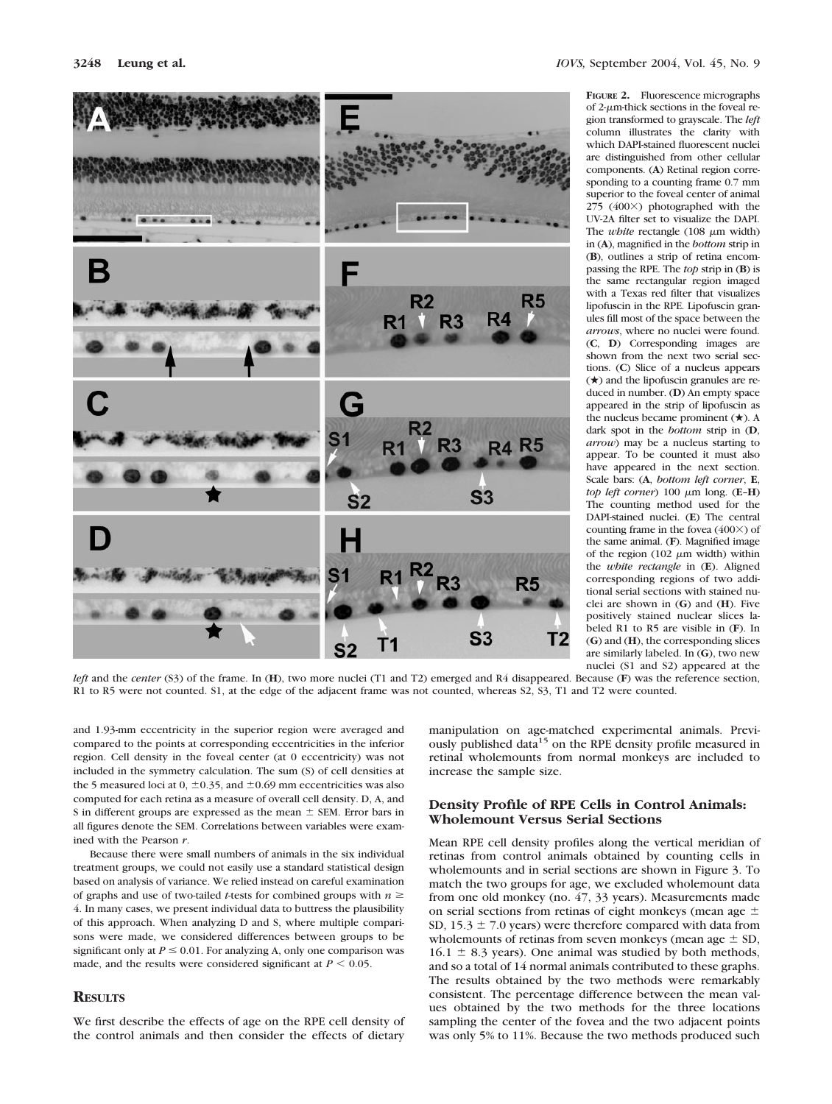

**FIGURE 2.** Fluorescence micrographs of 2-m-thick sections in the foveal region transformed to grayscale. The *left* column illustrates the clarity with which DAPI-stained fluorescent nuclei are distinguished from other cellular components. (**A**) Retinal region corresponding to a counting frame 0.7 mm superior to the foveal center of animal  $275$  (400 $\times$ ) photographed with the UV-2A filter set to visualize the DAPI. The *white* rectangle  $(108 \mu m \text{ width})$ in (**A**), magnified in the *bottom* strip in (**B**), outlines a strip of retina encompassing the RPE. The *top* strip in (**B**) is the same rectangular region imaged with a Texas red filter that visualizes lipofuscin in the RPE. Lipofuscin granules fill most of the space between the *arrows*, where no nuclei were found. (**C**, **D**) Corresponding images are shown from the next two serial sections. (**C**) Slice of a nucleus appears  $(\star)$  and the lipofuscin granules are reduced in number. (**D**) An empty space appeared in the strip of lipofuscin as the nucleus became prominent  $(\star)$ . A dark spot in the *bottom* strip in (**D**, *arrow*) may be a nucleus starting to appear. To be counted it must also have appeared in the next section. Scale bars: (**A**, *bottom left corner*, **E**, *top left corner*) 100  $\mu$ m long. (**E–H**) The counting method used for the DAPI-stained nuclei. (**E**) The central counting frame in the fovea  $(400\times)$  of the same animal. (**F**). Magnified image of the region (102  $\mu$ m width) within the *white rectangle* in (**E**). Aligned corresponding regions of two additional serial sections with stained nuclei are shown in (**G**) and (**H**). Five positively stained nuclear slices labeled R1 to R5 are visible in (**F**). In (**G**) and (**H**), the corresponding slices are similarly labeled. In (**G**), two new nuclei (S1 and S2) appeared at the

*left* and the *center* (S3) of the frame. In (**H**), two more nuclei (T1 and T2) emerged and R4 disappeared. Because (**F**) was the reference section, R1 to R5 were not counted. S1, at the edge of the adjacent frame was not counted, whereas S2, S3, T1 and T2 were counted.

and 1.93-mm eccentricity in the superior region were averaged and compared to the points at corresponding eccentricities in the inferior region. Cell density in the foveal center (at 0 eccentricity) was not included in the symmetry calculation. The sum (S) of cell densities at the 5 measured loci at 0,  $\pm$ 0.35, and  $\pm$ 0.69 mm eccentricities was also computed for each retina as a measure of overall cell density. D, A, and S in different groups are expressed as the mean  $\pm$  SEM. Error bars in all figures denote the SEM. Correlations between variables were examined with the Pearson *r*.

Because there were small numbers of animals in the six individual treatment groups, we could not easily use a standard statistical design based on analysis of variance. We relied instead on careful examination of graphs and use of two-tailed *t*-tests for combined groups with  $n \geq$ 4. In many cases, we present individual data to buttress the plausibility of this approach. When analyzing D and S, where multiple comparisons were made, we considered differences between groups to be significant only at  $P \le 0.01$ . For analyzing A, only one comparison was made, and the results were considered significant at  $P \leq 0.05$ .

# **RESULTS**

We first describe the effects of age on the RPE cell density of the control animals and then consider the effects of dietary

manipulation on age-matched experimental animals. Previously published data<sup>15</sup> on the RPE density profile measured in retinal wholemounts from normal monkeys are included to increase the sample size.

# **Density Profile of RPE Cells in Control Animals: Wholemount Versus Serial Sections**

Mean RPE cell density profiles along the vertical meridian of retinas from control animals obtained by counting cells in wholemounts and in serial sections are shown in Figure 3. To match the two groups for age, we excluded wholemount data from one old monkey (no. 47, 33 years). Measurements made on serial sections from retinas of eight monkeys (mean age  $\pm$ SD,  $15.3 \pm 7.0$  years) were therefore compared with data from wholemounts of retinas from seven monkeys (mean age  $\pm$  SD,  $16.1 \pm 8.3$  years). One animal was studied by both methods, and so a total of 14 normal animals contributed to these graphs. The results obtained by the two methods were remarkably consistent. The percentage difference between the mean values obtained by the two methods for the three locations sampling the center of the fovea and the two adjacent points was only 5% to 11%. Because the two methods produced such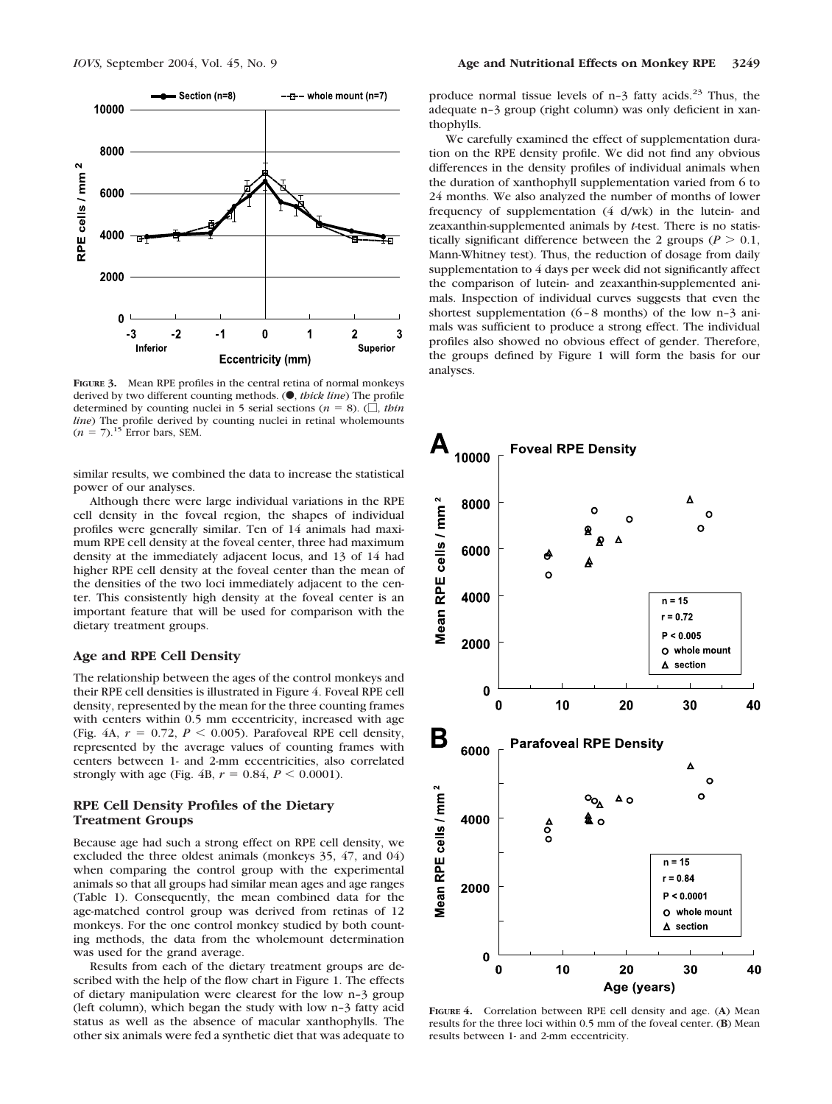

**FIGURE 3.** Mean RPE profiles in the central retina of normal monkeys derived by two different counting methods. ( $\bullet$ , *thick line*) The profile determined by counting nuclei in 5 serial sections ( $n = 8$ ). ( $\Box$ , *thin line*) The profile derived by counting nuclei in retinal wholemounts  $(n = 7).$ <sup>15</sup> Error bars, SEM.

similar results, we combined the data to increase the statistical power of our analyses.

Although there were large individual variations in the RPE cell density in the foveal region, the shapes of individual profiles were generally similar. Ten of 14 animals had maximum RPE cell density at the foveal center, three had maximum density at the immediately adjacent locus, and 13 of 14 had higher RPE cell density at the foveal center than the mean of the densities of the two loci immediately adjacent to the center. This consistently high density at the foveal center is an important feature that will be used for comparison with the dietary treatment groups.

## **Age and RPE Cell Density**

The relationship between the ages of the control monkeys and their RPE cell densities is illustrated in Figure 4. Foveal RPE cell density, represented by the mean for the three counting frames with centers within 0.5 mm eccentricity, increased with age (Fig. 4A,  $r = 0.72$ ,  $P < 0.005$ ). Parafoveal RPE cell density, represented by the average values of counting frames with centers between 1- and 2-mm eccentricities, also correlated strongly with age (Fig. 4B,  $r = 0.84$ ,  $P \le 0.0001$ ).

## **RPE Cell Density Profiles of the Dietary Treatment Groups**

Because age had such a strong effect on RPE cell density, we excluded the three oldest animals (monkeys 35, 47, and 04) when comparing the control group with the experimental animals so that all groups had similar mean ages and age ranges (Table 1). Consequently, the mean combined data for the age-matched control group was derived from retinas of 12 monkeys. For the one control monkey studied by both counting methods, the data from the wholemount determination was used for the grand average.

Results from each of the dietary treatment groups are described with the help of the flow chart in Figure 1. The effects of dietary manipulation were clearest for the low n–3 group (left column), which began the study with low n–3 fatty acid status as well as the absence of macular xanthophylls. The other six animals were fed a synthetic diet that was adequate to

produce normal tissue levels of  $n-3$  fatty acids.<sup>23</sup> Thus, the adequate n–3 group (right column) was only deficient in xanthophylls.

We carefully examined the effect of supplementation duration on the RPE density profile. We did not find any obvious differences in the density profiles of individual animals when the duration of xanthophyll supplementation varied from 6 to 24 months. We also analyzed the number of months of lower frequency of supplementation (4 d/wk) in the lutein- and zeaxanthin-supplemented animals by *t*-test. There is no statistically significant difference between the 2 groups ( $P > 0.1$ , Mann-Whitney test). Thus, the reduction of dosage from daily supplementation to 4 days per week did not significantly affect the comparison of lutein- and zeaxanthin-supplemented animals. Inspection of individual curves suggests that even the shortest supplementation (6–8 months) of the low n–3 animals was sufficient to produce a strong effect. The individual profiles also showed no obvious effect of gender. Therefore, the groups defined by Figure 1 will form the basis for our analyses.



**FIGURE 4.** Correlation between RPE cell density and age. (**A**) Mean results for the three loci within 0.5 mm of the foveal center. (**B**) Mean results between 1- and 2-mm eccentricity.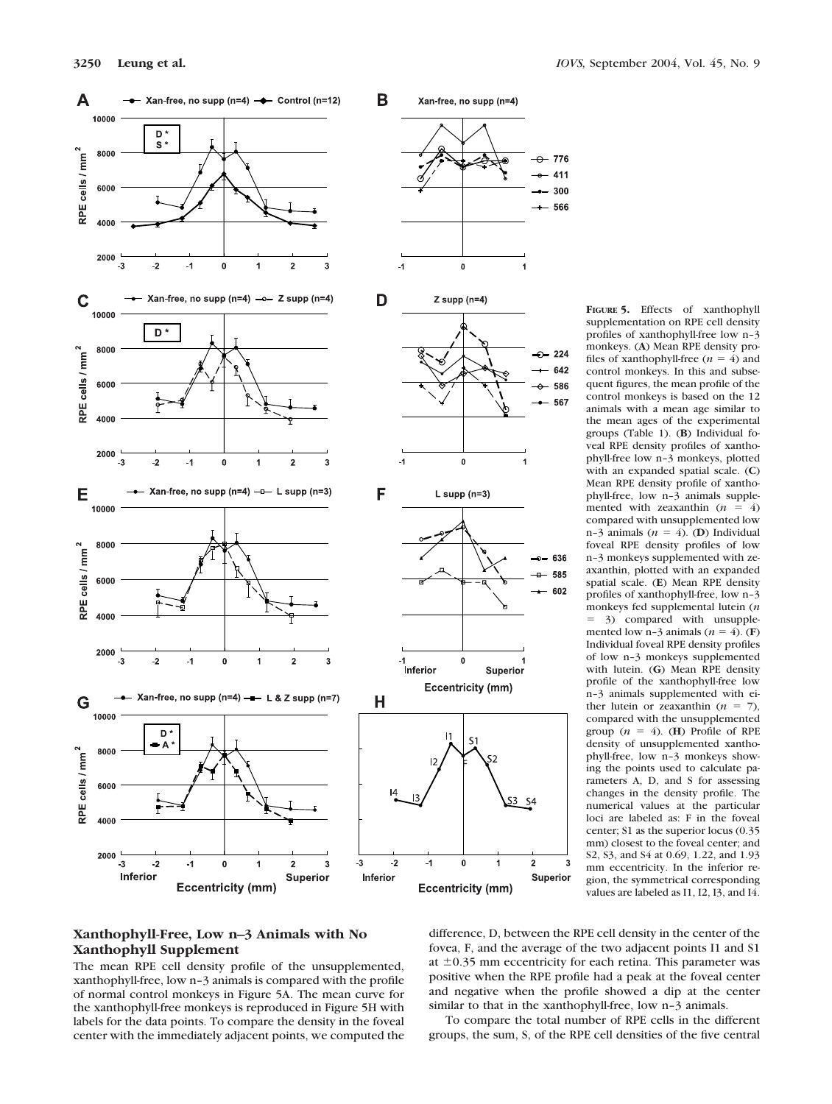

**FIGURE 5.** Effects of xanthophyll supplementation on RPE cell density profiles of xanthophyll-free low n–3 monkeys. (**A**) Mean RPE density profiles of xanthophyll-free  $(n = 4)$  and control monkeys. In this and subsequent figures, the mean profile of the control monkeys is based on the 12 animals with a mean age similar to the mean ages of the experimental groups (Table 1). (**B**) Individual foveal RPE density profiles of xanthophyll-free low n–3 monkeys, plotted with an expanded spatial scale. (**C**) Mean RPE density profile of xanthophyll-free, low n–3 animals supplemented with zeaxanthin  $(n = 4)$ compared with unsupplemented low n-3 animals  $(n = 4)$ . (**D**) Individual foveal RPE density profiles of low n–3 monkeys supplemented with zeaxanthin, plotted with an expanded spatial scale. (**E**) Mean RPE density profiles of xanthophyll-free, low n–3 monkeys fed supplemental lutein (*n* 3) compared with unsupplemented low n-3 animals ( $n = 4$ ). (**F**) Individual foveal RPE density profiles of low n–3 monkeys supplemented with lutein. (**G**) Mean RPE density profile of the xanthophyll-free low n–3 animals supplemented with either lutein or zeaxanthin  $(n = 7)$ , compared with the unsupplemented group  $(n = 4)$ . (**H**) Profile of RPE density of unsupplemented xanthophyll-free, low n–3 monkeys showing the points used to calculate parameters A, D, and S for assessing changes in the density profile. The numerical values at the particular loci are labeled as: F in the foveal center; S1 as the superior locus (0.35 mm) closest to the foveal center; and S2, S3, and S4 at 0.69, 1.22, and 1.93 mm eccentricity. In the inferior region, the symmetrical corresponding values are labeled as I1, I2, I3, and I4.

# **Xanthophyll-Free, Low n–3 Animals with No Xanthophyll Supplement**

The mean RPE cell density profile of the unsupplemented, xanthophyll-free, low n–3 animals is compared with the profile of normal control monkeys in Figure 5A. The mean curve for the xanthophyll-free monkeys is reproduced in Figure 5H with labels for the data points. To compare the density in the foveal center with the immediately adjacent points, we computed the difference, D, between the RPE cell density in the center of the fovea, F, and the average of the two adjacent points I1 and S1 at  $\pm 0.35$  mm eccentricity for each retina. This parameter was positive when the RPE profile had a peak at the foveal center and negative when the profile showed a dip at the center similar to that in the xanthophyll-free, low n–3 animals.

3

To compare the total number of RPE cells in the different groups, the sum, S, of the RPE cell densities of the five central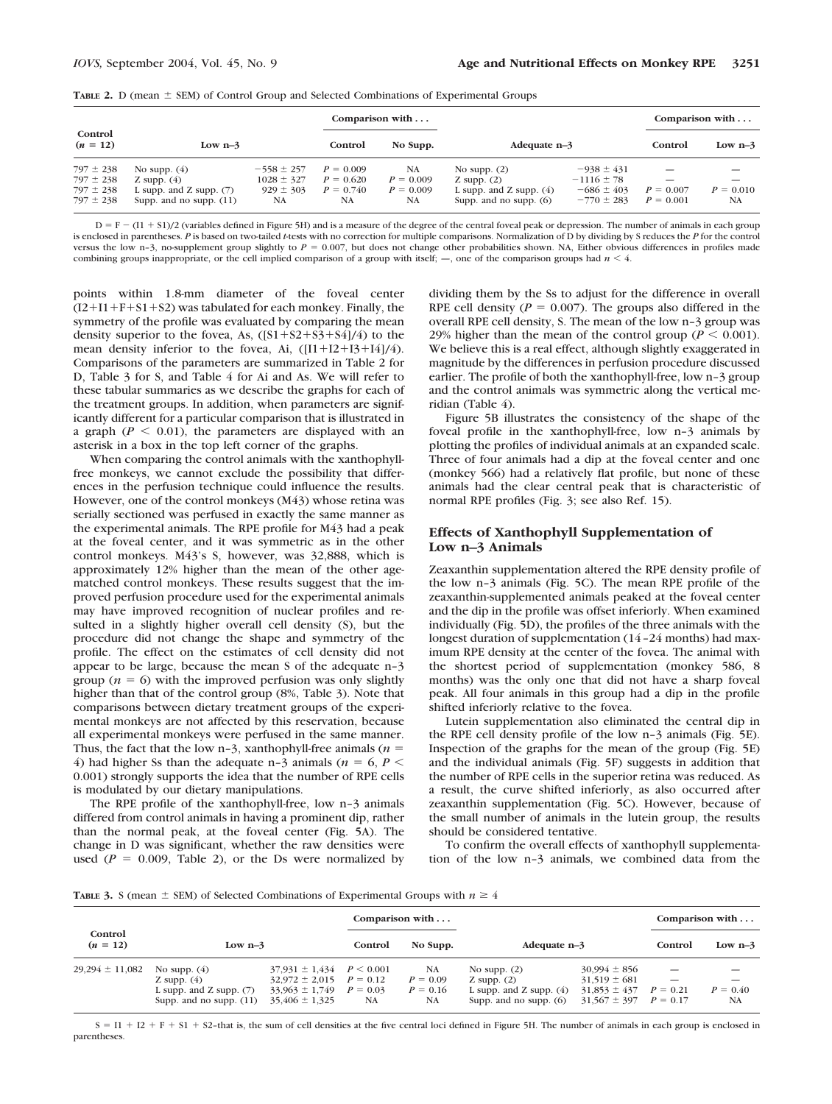| <b>TABLE 2.</b> D (mean $\pm$ SEM) of Control Group and Selected Combinations of Experimental Groups |  |  |
|------------------------------------------------------------------------------------------------------|--|--|
|------------------------------------------------------------------------------------------------------|--|--|

|                       |                             |                |             | Comparison with |                           |                |             | Comparison with |
|-----------------------|-----------------------------|----------------|-------------|-----------------|---------------------------|----------------|-------------|-----------------|
| Control<br>$(n = 12)$ | Low $n-3$                   |                | Control     | No Supp.        | Adequate $n-3$            |                | Control     | Low $n-3$       |
| $797 \pm 238$         | No supp. $(4)$              | $-558 \pm 257$ | $P = 0.009$ | <b>NA</b>       | No supp. $(2)$            | $-938 \pm 431$ |             |                 |
| $797 \pm 238$         | Z supp. $(4)$               | $1028 \pm 327$ | $P = 0.620$ | $P = 0.009$     | Z supp. $(2)$             | $-1116 \pm 78$ |             |                 |
| $797 \pm 238$         | L supp. and $Z$ supp. $(7)$ | $929 \pm 303$  | $P = 0.740$ | $P = 0.009$     | L supp. and Z supp. $(4)$ | $-686 \pm 403$ | $P = 0.007$ | $P = 0.010$     |
| $797 \pm 238$         | Supp. and no supp. $(11)$   | NA             | NA          | NA              | Supp. and no supp. $(6)$  | $-770 \pm 283$ | $P = 0.001$ | NA              |

 $D = F - (I1 + S1)/2$  (variables defined in Figure 5H) and is a measure of the degree of the central foveal peak or depression. The number of animals in each group is enclosed in parentheses. *P* is based on two-tailed *t*-tests with no correction for multiple comparisons. Normalization of D by dividing by S reduces the *P* for the control versus the low n-3, no-supplement group slightly to  $P = 0.007$ , but does not change other probabilities shown. NA, Either obvious differences in profiles made combining groups inappropriate, or the cell implied comparison of a group with itself;  $-$ , one of the comparison groups had  $n \leq 4$ .

points within 1.8-mm diameter of the foveal center  $(I2+I1+F+S1+S2)$  was tabulated for each monkey. Finally, the symmetry of the profile was evaluated by comparing the mean density superior to the fovea, As,  $([S1+S2+S3+S4]/4)$  to the mean density inferior to the fovea, Ai,  $([I1+I2+I3+I4]/4)$ . Comparisons of the parameters are summarized in Table 2 for D, Table 3 for S, and Table 4 for Ai and As. We will refer to these tabular summaries as we describe the graphs for each of the treatment groups. In addition, when parameters are significantly different for a particular comparison that is illustrated in a graph  $(P < 0.01)$ , the parameters are displayed with an asterisk in a box in the top left corner of the graphs.

When comparing the control animals with the xanthophyllfree monkeys, we cannot exclude the possibility that differences in the perfusion technique could influence the results. However, one of the control monkeys (M43) whose retina was serially sectioned was perfused in exactly the same manner as the experimental animals. The RPE profile for M43 had a peak at the foveal center, and it was symmetric as in the other control monkeys. M43's S, however, was 32,888, which is approximately 12% higher than the mean of the other agematched control monkeys. These results suggest that the improved perfusion procedure used for the experimental animals may have improved recognition of nuclear profiles and resulted in a slightly higher overall cell density (S), but the procedure did not change the shape and symmetry of the profile. The effect on the estimates of cell density did not appear to be large, because the mean S of the adequate n–3 group  $(n = 6)$  with the improved perfusion was only slightly higher than that of the control group (8%, Table 3). Note that comparisons between dietary treatment groups of the experimental monkeys are not affected by this reservation, because all experimental monkeys were perfused in the same manner. Thus, the fact that the low n–3, xanthophyll-free animals (*n* 4) had higher Ss than the adequate n-3 animals ( $n = 6, P <$ 0.001) strongly supports the idea that the number of RPE cells is modulated by our dietary manipulations.

The RPE profile of the xanthophyll-free, low n–3 animals differed from control animals in having a prominent dip, rather than the normal peak, at the foveal center (Fig. 5A). The change in D was significant, whether the raw densities were used  $(P = 0.009,$  Table 2), or the Ds were normalized by dividing them by the Ss to adjust for the difference in overall RPE cell density ( $P = 0.007$ ). The groups also differed in the overall RPE cell density, S. The mean of the low n–3 group was 29% higher than the mean of the control group ( $P < 0.001$ ). We believe this is a real effect, although slightly exaggerated in magnitude by the differences in perfusion procedure discussed earlier. The profile of both the xanthophyll-free, low n–3 group and the control animals was symmetric along the vertical meridian (Table 4).

Figure 5B illustrates the consistency of the shape of the foveal profile in the xanthophyll-free, low n–3 animals by plotting the profiles of individual animals at an expanded scale. Three of four animals had a dip at the foveal center and one (monkey 566) had a relatively flat profile, but none of these animals had the clear central peak that is characteristic of normal RPE profiles (Fig. 3; see also Ref. 15).

#### **Effects of Xanthophyll Supplementation of Low n–3 Animals**

Zeaxanthin supplementation altered the RPE density profile of the low n–3 animals (Fig. 5C). The mean RPE profile of the zeaxanthin-supplemented animals peaked at the foveal center and the dip in the profile was offset inferiorly. When examined individually (Fig. 5D), the profiles of the three animals with the longest duration of supplementation (14–24 months) had maximum RPE density at the center of the fovea. The animal with the shortest period of supplementation (monkey 586, 8 months) was the only one that did not have a sharp foveal peak. All four animals in this group had a dip in the profile shifted inferiorly relative to the fovea.

Lutein supplementation also eliminated the central dip in the RPE cell density profile of the low n–3 animals (Fig. 5E). Inspection of the graphs for the mean of the group (Fig. 5E) and the individual animals (Fig. 5F) suggests in addition that the number of RPE cells in the superior retina was reduced. As a result, the curve shifted inferiorly, as also occurred after zeaxanthin supplementation (Fig. 5C). However, because of the small number of animals in the lutein group, the results should be considered tentative.

To confirm the overall effects of xanthophyll supplementation of the low n–3 animals, we combined data from the

**TABLE** 3. S (mean  $\pm$  SEM) of Selected Combinations of Experimental Groups with  $n \geq 4$ 

|                       |                                                                                           | Comparison with                                                                                                        |         |                                                    |                                                                                          |                                                                                                    | Comparison with |                  |
|-----------------------|-------------------------------------------------------------------------------------------|------------------------------------------------------------------------------------------------------------------------|---------|----------------------------------------------------|------------------------------------------------------------------------------------------|----------------------------------------------------------------------------------------------------|-----------------|------------------|
| Control<br>$(n = 12)$ | Low $n-3$                                                                                 |                                                                                                                        | Control | No Supp.                                           | Adequate $n-3$                                                                           |                                                                                                    | Control         | Low $n-3$        |
| $29,294 \pm 11,082$   | No supp. $(4)$<br>Z supp. $(4)$<br>L supp. and Z supp. $(7)$<br>Supp. and no supp. $(11)$ | $37.931 \pm 1.434$ $P < 0.001$<br>$32.972 \pm 2.015$ $P = 0.12$<br>$33.963 \pm 1.749$ $P = 0.03$<br>$35,406 \pm 1,325$ | NA      | <b>NA</b><br>$P = 0.09$<br>$P = 0.16$<br><b>NA</b> | No supp. $(2)$<br>Z supp. $(2)$<br>L supp. and Z supp. $(4)$<br>Supp. and no supp. $(6)$ | $30.994 \pm 856$<br>$31.519 \pm 681$<br>$31,853 \pm 437$ $P = 0.21$<br>$31,567 \pm 397$ $P = 0.17$ |                 | $P = 0.40$<br>NA |

 $S = I1 + I2 + F + S1 + S2$ -that is, the sum of cell densities at the five central loci defined in Figure 5H. The number of animals in each group is enclosed in parentheses.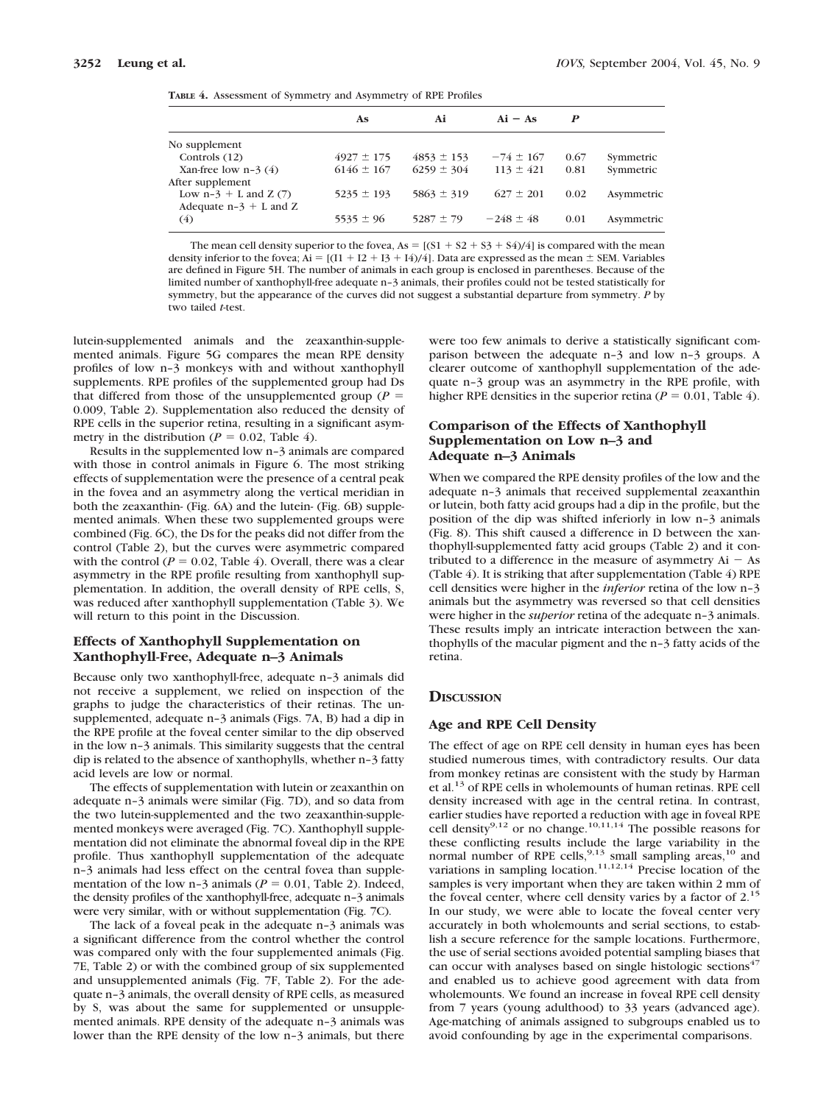|  | <b>TABLE 4.</b> Assessment of Symmetry and Asymmetry of RPE Profiles |  |  |  |  |  |  |  |
|--|----------------------------------------------------------------------|--|--|--|--|--|--|--|
|--|----------------------------------------------------------------------|--|--|--|--|--|--|--|

|                          | As             | Ai             | $Ai - As$     | P    |            |
|--------------------------|----------------|----------------|---------------|------|------------|
| No supplement            |                |                |               |      |            |
| Controls (12)            | $4927 \pm 175$ | $4853 \pm 153$ | $-74 \pm 167$ | 0.67 | Symmetric  |
| Xan-free low $n-3(4)$    | $6146 \pm 167$ | $6259 \pm 304$ | $113 \pm 421$ | 0.81 | Symmetric  |
| After supplement         |                |                |               |      |            |
| Low $n-3 + L$ and $Z(7)$ | $5235 \pm 193$ | $5863 \pm 319$ | $627 \pm 201$ | 0.02 | Asymmetric |
| Adequate $n-3 + L$ and Z |                |                |               |      |            |
| (4)                      | $5535 \pm 96$  | $5287 \pm 79$  | $-248 \pm 48$ | 0.01 | Asymmetric |
|                          |                |                |               |      |            |

The mean cell density superior to the fovea,  $As = [(S1 + S2 + S3 + S4)/4]$  is compared with the mean density inferior to the fovea;  $Ai = [(11 + 12 + 13 + 14)/4]$ . Data are expressed as the mean  $\pm$  SEM. Variables are defined in Figure 5H. The number of animals in each group is enclosed in parentheses. Because of the limited number of xanthophyll-free adequate n–3 animals, their profiles could not be tested statistically for symmetry, but the appearance of the curves did not suggest a substantial departure from symmetry. *P* by two tailed *t*-test.

lutein-supplemented animals and the zeaxanthin-supplemented animals. Figure 5G compares the mean RPE density profiles of low n–3 monkeys with and without xanthophyll supplements. RPE profiles of the supplemented group had Ds that differed from those of the unsupplemented group  $(P =$ 0.009, Table 2). Supplementation also reduced the density of RPE cells in the superior retina, resulting in a significant asymmetry in the distribution ( $P = 0.02$ , Table 4).

Results in the supplemented low n–3 animals are compared with those in control animals in Figure 6. The most striking effects of supplementation were the presence of a central peak in the fovea and an asymmetry along the vertical meridian in both the zeaxanthin- (Fig. 6A) and the lutein- (Fig. 6B) supplemented animals. When these two supplemented groups were combined (Fig. 6C), the Ds for the peaks did not differ from the control (Table 2), but the curves were asymmetric compared with the control ( $P = 0.02$ , Table 4). Overall, there was a clear asymmetry in the RPE profile resulting from xanthophyll supplementation. In addition, the overall density of RPE cells, S, was reduced after xanthophyll supplementation (Table 3). We will return to this point in the Discussion.

# **Effects of Xanthophyll Supplementation on Xanthophyll-Free, Adequate n–3 Animals**

Because only two xanthophyll-free, adequate n–3 animals did not receive a supplement, we relied on inspection of the graphs to judge the characteristics of their retinas. The unsupplemented, adequate n–3 animals (Figs. 7A, B) had a dip in the RPE profile at the foveal center similar to the dip observed in the low n–3 animals. This similarity suggests that the central dip is related to the absence of xanthophylls, whether n–3 fatty acid levels are low or normal.

The effects of supplementation with lutein or zeaxanthin on adequate n–3 animals were similar (Fig. 7D), and so data from the two lutein-supplemented and the two zeaxanthin-supplemented monkeys were averaged (Fig. 7C). Xanthophyll supplementation did not eliminate the abnormal foveal dip in the RPE profile. Thus xanthophyll supplementation of the adequate n–3 animals had less effect on the central fovea than supplementation of the low n-3 animals ( $P = 0.01$ , Table 2). Indeed, the density profiles of the xanthophyll-free, adequate n–3 animals were very similar, with or without supplementation (Fig. 7C).

The lack of a foveal peak in the adequate n–3 animals was a significant difference from the control whether the control was compared only with the four supplemented animals (Fig. 7E, Table 2) or with the combined group of six supplemented and unsupplemented animals (Fig. 7F, Table 2). For the adequate n–3 animals, the overall density of RPE cells, as measured by S, was about the same for supplemented or unsupplemented animals. RPE density of the adequate n–3 animals was lower than the RPE density of the low n–3 animals, but there

were too few animals to derive a statistically significant comparison between the adequate n–3 and low n–3 groups. A clearer outcome of xanthophyll supplementation of the adequate n–3 group was an asymmetry in the RPE profile, with higher RPE densities in the superior retina ( $P = 0.01$ , Table 4).

# **Comparison of the Effects of Xanthophyll Supplementation on Low n–3 and Adequate n–3 Animals**

When we compared the RPE density profiles of the low and the adequate n–3 animals that received supplemental zeaxanthin or lutein, both fatty acid groups had a dip in the profile, but the position of the dip was shifted inferiorly in low n–3 animals (Fig. 8). This shift caused a difference in D between the xanthophyll-supplemented fatty acid groups (Table 2) and it contributed to a difference in the measure of asymmetry  $Ai - As$ (Table 4). It is striking that after supplementation (Table 4) RPE cell densities were higher in the *inferior* retina of the low n–3 animals but the asymmetry was reversed so that cell densities were higher in the *superior* retina of the adequate n–3 animals. These results imply an intricate interaction between the xanthophylls of the macular pigment and the n–3 fatty acids of the retina.

# **DISCUSSION**

### **Age and RPE Cell Density**

The effect of age on RPE cell density in human eyes has been studied numerous times, with contradictory results. Our data from monkey retinas are consistent with the study by Harman et al.13 of RPE cells in wholemounts of human retinas. RPE cell density increased with age in the central retina. In contrast, earlier studies have reported a reduction with age in foveal RPE cell density<sup>9,12</sup> or no change.<sup>10,11,14</sup> The possible reasons for these conflicting results include the large variability in the normal number of RPE cells,  $9,13$  small sampling areas,  $10$  and variations in sampling location.<sup>11,12,14</sup> Precise location of the samples is very important when they are taken within 2 mm of the foveal center, where cell density varies by a factor of  $2<sup>15</sup>$ In our study, we were able to locate the foveal center very accurately in both wholemounts and serial sections, to establish a secure reference for the sample locations. Furthermore, the use of serial sections avoided potential sampling biases that can occur with analyses based on single histologic sections<sup>47</sup> and enabled us to achieve good agreement with data from wholemounts. We found an increase in foveal RPE cell density from 7 years (young adulthood) to 33 years (advanced age). Age-matching of animals assigned to subgroups enabled us to avoid confounding by age in the experimental comparisons.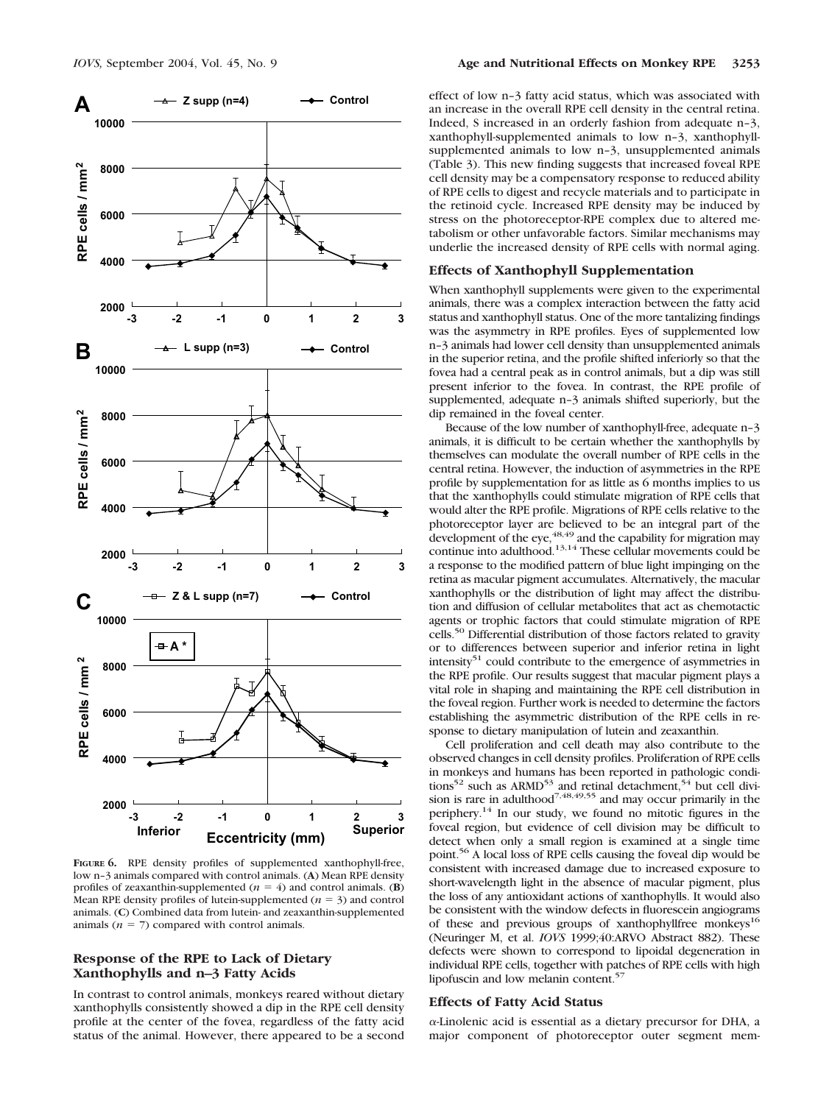

**FIGURE 6.** RPE density profiles of supplemented xanthophyll-free, low n–3 animals compared with control animals. (**A**) Mean RPE density profiles of zeaxanthin-supplemented ( $n = 4$ ) and control animals. (**B**) Mean RPE density profiles of lutein-supplemented  $(n = 3)$  and control animals. (**C**) Combined data from lutein- and zeaxanthin-supplemented animals  $(n = 7)$  compared with control animals.

# **Response of the RPE to Lack of Dietary Xanthophylls and n–3 Fatty Acids**

In contrast to control animals, monkeys reared without dietary xanthophylls consistently showed a dip in the RPE cell density profile at the center of the fovea, regardless of the fatty acid status of the animal. However, there appeared to be a second effect of low n–3 fatty acid status, which was associated with an increase in the overall RPE cell density in the central retina. Indeed, S increased in an orderly fashion from adequate n–3, xanthophyll-supplemented animals to low n–3, xanthophyllsupplemented animals to low n–3, unsupplemented animals (Table 3). This new finding suggests that increased foveal RPE cell density may be a compensatory response to reduced ability of RPE cells to digest and recycle materials and to participate in the retinoid cycle. Increased RPE density may be induced by stress on the photoreceptor-RPE complex due to altered metabolism or other unfavorable factors. Similar mechanisms may underlie the increased density of RPE cells with normal aging.

# **Effects of Xanthophyll Supplementation**

When xanthophyll supplements were given to the experimental animals, there was a complex interaction between the fatty acid status and xanthophyll status. One of the more tantalizing findings was the asymmetry in RPE profiles. Eyes of supplemented low n–3 animals had lower cell density than unsupplemented animals in the superior retina, and the profile shifted inferiorly so that the fovea had a central peak as in control animals, but a dip was still present inferior to the fovea. In contrast, the RPE profile of supplemented, adequate n–3 animals shifted superiorly, but the dip remained in the foveal center.

Because of the low number of xanthophyll-free, adequate n–3 animals, it is difficult to be certain whether the xanthophylls by themselves can modulate the overall number of RPE cells in the central retina. However, the induction of asymmetries in the RPE profile by supplementation for as little as 6 months implies to us that the xanthophylls could stimulate migration of RPE cells that would alter the RPE profile. Migrations of RPE cells relative to the photoreceptor layer are believed to be an integral part of the development of the eye,  $^{48,49}$  and the capability for migration may continue into adulthood.<sup>13,14</sup> These cellular movements could be a response to the modified pattern of blue light impinging on the retina as macular pigment accumulates. Alternatively, the macular xanthophylls or the distribution of light may affect the distribution and diffusion of cellular metabolites that act as chemotactic agents or trophic factors that could stimulate migration of RPE cells.50 Differential distribution of those factors related to gravity or to differences between superior and inferior retina in light intensity $51$  could contribute to the emergence of asymmetries in the RPE profile. Our results suggest that macular pigment plays a vital role in shaping and maintaining the RPE cell distribution in the foveal region. Further work is needed to determine the factors establishing the asymmetric distribution of the RPE cells in response to dietary manipulation of lutein and zeaxanthin.

Cell proliferation and cell death may also contribute to the observed changes in cell density profiles. Proliferation of RPE cells in monkeys and humans has been reported in pathologic conditions<sup>52</sup> such as ARMD<sup>53</sup> and retinal detachment,<sup>54</sup> but cell division is rare in adulthood<sup>7,48,49,55</sup> and may occur primarily in the periphery.14 In our study, we found no mitotic figures in the foveal region, but evidence of cell division may be difficult to detect when only a small region is examined at a single time point.56 A local loss of RPE cells causing the foveal dip would be consistent with increased damage due to increased exposure to short-wavelength light in the absence of macular pigment, plus the loss of any antioxidant actions of xanthophylls. It would also be consistent with the window defects in fluorescein angiograms of these and previous groups of xanthophyllfree monkeys<sup>16</sup> (Neuringer M, et al. *IOVS* 1999;40:ARVO Abstract 882). These defects were shown to correspond to lipoidal degeneration in individual RPE cells, together with patches of RPE cells with high lipofuscin and low melanin content.<sup>57</sup>

# **Effects of Fatty Acid Status**

--Linolenic acid is essential as a dietary precursor for DHA, a major component of photoreceptor outer segment mem-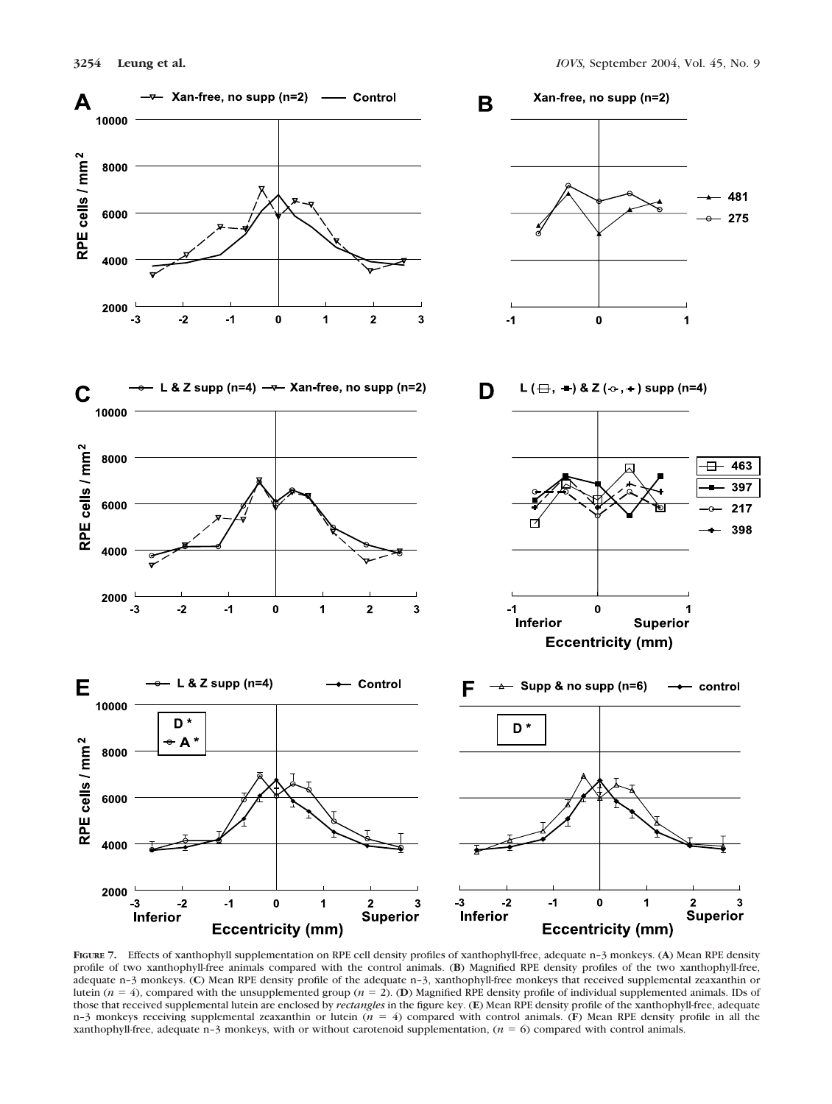







**FIGURE 7.** Effects of xanthophyll supplementation on RPE cell density profiles of xanthophyll-free, adequate n–3 monkeys. (**A**) Mean RPE density profile of two xanthophyll-free animals compared with the control animals. (**B**) Magnified RPE density profiles of the two xanthophyll-free, adequate n–3 monkeys. (**C**) Mean RPE density profile of the adequate n–3, xanthophyll-free monkeys that received supplemental zeaxanthin or lutein ( $n = 4$ ), compared with the unsupplemented group ( $n = 2$ ). (**D**) Magnified RPE density profile of individual supplemented animals. IDs of those that received supplemental lutein are enclosed by *rectangles* in the figure key. (**E**) Mean RPE density profile of the xanthophyll-free, adequate n–3 monkeys receiving supplemental zeaxanthin or lutein (*n* 4) compared with control animals. (**F**) Mean RPE density profile in all the xanthophyll-free, adequate n–3 monkeys, with or without carotenoid supplementation, (*n* 6) compared with control animals.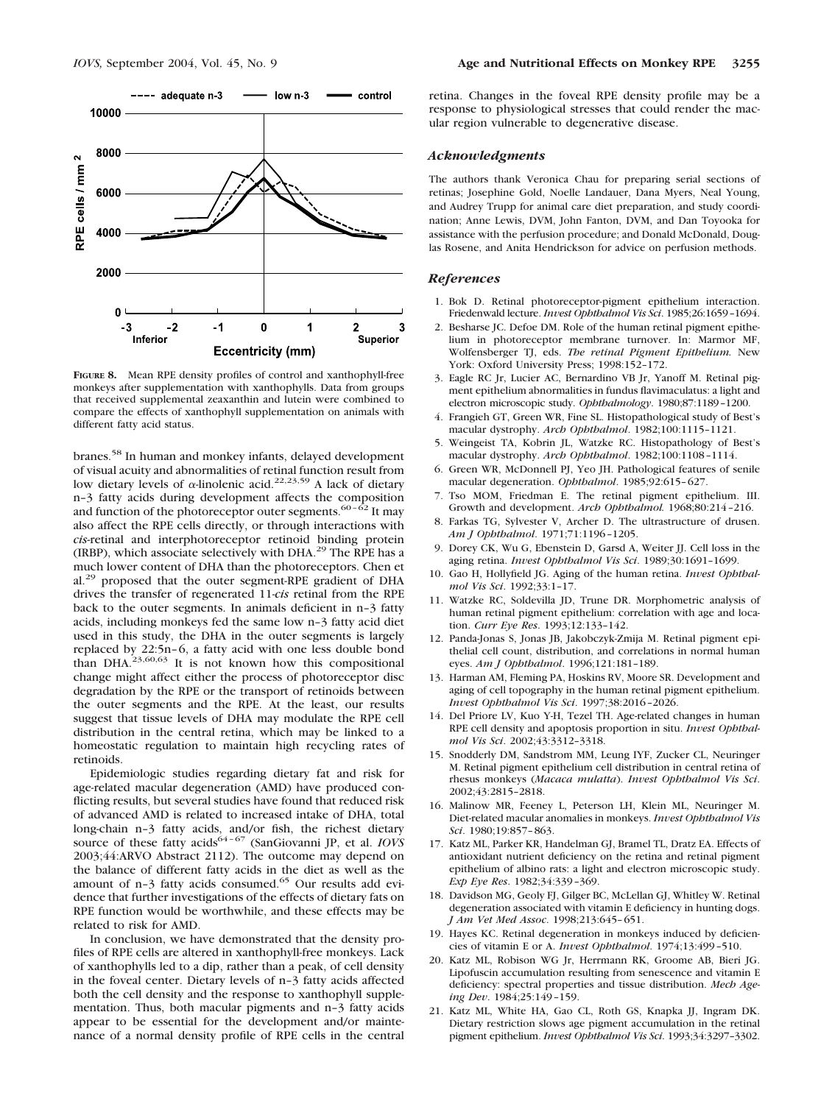

**FIGURE 8.** Mean RPE density profiles of control and xanthophyll-free monkeys after supplementation with xanthophylls. Data from groups that received supplemental zeaxanthin and lutein were combined to compare the effects of xanthophyll supplementation on animals with different fatty acid status.

branes.58 In human and monkey infants, delayed development of visual acuity and abnormalities of retinal function result from low dietary levels of  $\alpha$ -linolenic acid.<sup>22,23,59</sup> A lack of dietary n–3 fatty acids during development affects the composition and function of the photoreceptor outer segments.<sup>60- $\hat{62}$ </sup> It may also affect the RPE cells directly, or through interactions with *cis-*retinal and interphotoreceptor retinoid binding protein (IRBP), which associate selectively with DHA.<sup>29</sup> The RPE has a much lower content of DHA than the photoreceptors. Chen et al.<sup>29</sup> proposed that the outer segment-RPE gradient of DHA drives the transfer of regenerated 11-*cis* retinal from the RPE back to the outer segments. In animals deficient in n–3 fatty acids, including monkeys fed the same low n–3 fatty acid diet used in this study, the DHA in the outer segments is largely replaced by 22:5n–6, a fatty acid with one less double bond than DHA.23,60,63 It is not known how this compositional change might affect either the process of photoreceptor disc degradation by the RPE or the transport of retinoids between the outer segments and the RPE. At the least, our results suggest that tissue levels of DHA may modulate the RPE cell distribution in the central retina, which may be linked to a homeostatic regulation to maintain high recycling rates of retinoids.

Epidemiologic studies regarding dietary fat and risk for age-related macular degeneration (AMD) have produced conflicting results, but several studies have found that reduced risk of advanced AMD is related to increased intake of DHA, total long-chain n–3 fatty acids, and/or fish, the richest dietary source of these fatty acids<sup>64-67</sup> (SanGiovanni JP, et al. *IOVS* 2003;44:ARVO Abstract 2112). The outcome may depend on the balance of different fatty acids in the diet as well as the amount of n-3 fatty acids consumed.<sup>65</sup> Our results add evidence that further investigations of the effects of dietary fats on RPE function would be worthwhile, and these effects may be related to risk for AMD.

In conclusion, we have demonstrated that the density profiles of RPE cells are altered in xanthophyll-free monkeys. Lack of xanthophylls led to a dip, rather than a peak, of cell density in the foveal center. Dietary levels of n–3 fatty acids affected both the cell density and the response to xanthophyll supplementation. Thus, both macular pigments and n–3 fatty acids appear to be essential for the development and/or maintenance of a normal density profile of RPE cells in the central retina. Changes in the foveal RPE density profile may be a response to physiological stresses that could render the macular region vulnerable to degenerative disease.

#### *Acknowledgments*

The authors thank Veronica Chau for preparing serial sections of retinas; Josephine Gold, Noelle Landauer, Dana Myers, Neal Young, and Audrey Trupp for animal care diet preparation, and study coordination; Anne Lewis, DVM, John Fanton, DVM, and Dan Toyooka for assistance with the perfusion procedure; and Donald McDonald, Douglas Rosene, and Anita Hendrickson for advice on perfusion methods.

#### *References*

- 1. Bok D. Retinal photoreceptor-pigment epithelium interaction. Friedenwald lecture. *Invest Ophthalmol Vis Sci*. 1985;26:1659–1694.
- 2. Besharse JC. Defoe DM. Role of the human retinal pigment epithelium in photoreceptor membrane turnover. In: Marmor MF, Wolfensberger TJ, eds. *The retinal Pigment Epithelium.* New York: Oxford University Press; 1998:152–172.
- 3. Eagle RC Jr, Lucier AC, Bernardino VB Jr, Yanoff M. Retinal pigment epithelium abnormalities in fundus flavimaculatus: a light and electron microscopic study. *Ophthalmology*. 1980;87:1189–1200.
- 4. Frangieh GT, Green WR, Fine SL. Histopathological study of Best's macular dystrophy. *Arch Ophthalmol*. 1982;100:1115–1121.
- 5. Weingeist TA, Kobrin JL, Watzke RC. Histopathology of Best's macular dystrophy. *Arch Ophthalmol*. 1982;100:1108–1114.
- 6. Green WR, McDonnell PJ, Yeo JH. Pathological features of senile macular degeneration. *Ophthalmol*. 1985;92:615–627.
- 7. Tso MOM, Friedman E. The retinal pigment epithelium. III. Growth and development. *Arch Ophthalmol.* 1968;80:214–216.
- Farkas TG, Sylvester V, Archer D. The ultrastructure of drusen. *Am J Ophthalmol*. 1971;71:1196–1205.
- 9. Dorey CK, Wu G, Ebenstein D, Garsd A, Weiter JJ. Cell loss in the aging retina. *Invest Ophthalmol Vis Sci*. 1989;30:1691–1699.
- 10. Gao H, Hollyfield JG. Aging of the human retina. *Invest Ophthalmol Vis Sci*. 1992;33:1–17.
- 11. Watzke RC, Soldevilla JD, Trune DR. Morphometric analysis of human retinal pigment epithelium: correlation with age and location. *Curr Eye Res*. 1993;12:133–142.
- 12. Panda-Jonas S, Jonas JB, Jakobczyk-Zmija M. Retinal pigment epithelial cell count, distribution, and correlations in normal human eyes. *Am J Ophthalmol*. 1996;121:181–189.
- 13. Harman AM, Fleming PA, Hoskins RV, Moore SR. Development and aging of cell topography in the human retinal pigment epithelium. *Invest Ophthalmol Vis Sci*. 1997;38:2016–2026.
- 14. Del Priore LV, Kuo Y-H, Tezel TH. Age-related changes in human RPE cell density and apoptosis proportion in situ. *Invest Ophthalmol Vis Sci*. 2002;43:3312–3318.
- 15. Snodderly DM, Sandstrom MM, Leung IYF, Zucker CL, Neuringer M. Retinal pigment epithelium cell distribution in central retina of rhesus monkeys (*Macaca mulatta*). *Invest Ophthalmol Vis Sci*. 2002;43:2815–2818.
- 16. Malinow MR, Feeney L, Peterson LH, Klein ML, Neuringer M. Diet-related macular anomalies in monkeys. *Invest Ophthalmol Vis Sci*. 1980;19:857–863.
- 17. Katz ML, Parker KR, Handelman GJ, Bramel TL, Dratz EA. Effects of antioxidant nutrient deficiency on the retina and retinal pigment epithelium of albino rats: a light and electron microscopic study. *Exp Eye Res*. 1982;34:339–369.
- 18. Davidson MG, Geoly FJ, Gilger BC, McLellan GJ, Whitley W. Retinal degeneration associated with vitamin E deficiency in hunting dogs. *J Am Vet Med Assoc*. 1998;213:645–651.
- 19. Hayes KC. Retinal degeneration in monkeys induced by deficiencies of vitamin E or A. *Invest Ophthalmol*. 1974;13:499–510.
- 20. Katz ML, Robison WG Jr, Herrmann RK, Groome AB, Bieri JG. Lipofuscin accumulation resulting from senescence and vitamin E deficiency: spectral properties and tissue distribution. *Mech Ageing Dev*. 1984;25:149–159.
- 21. Katz ML, White HA, Gao CL, Roth GS, Knapka JJ, Ingram DK. Dietary restriction slows age pigment accumulation in the retinal pigment epithelium. *Invest Ophthalmol Vis Sci*. 1993;34:3297–3302.